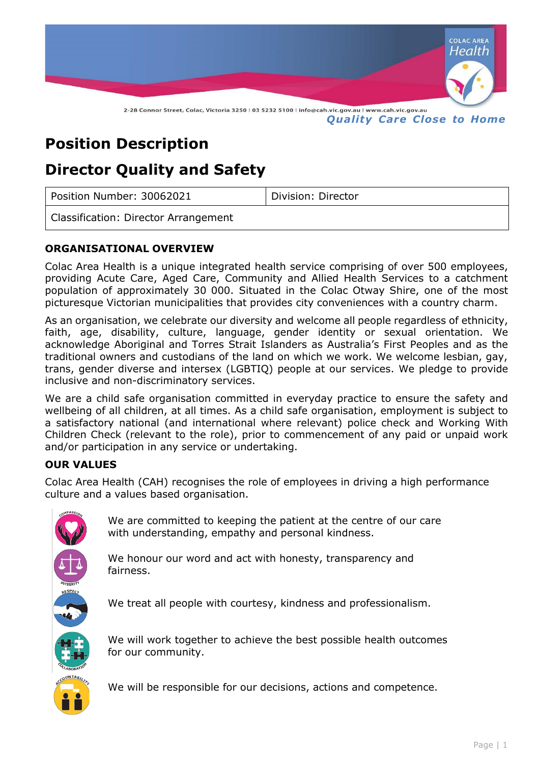

# **Position Description**

# **Director Quality and Safety**

| Position Number: 30062021            | Division: Director |
|--------------------------------------|--------------------|
| Classification: Director Arrangement |                    |

## **ORGANISATIONAL OVERVIEW**

Colac Area Health is a unique integrated health service comprising of over 500 employees, providing Acute Care, Aged Care, Community and Allied Health Services to a catchment population of approximately 30 000. Situated in the Colac Otway Shire, one of the most picturesque Victorian municipalities that provides city conveniences with a country charm.

As an organisation, we celebrate our diversity and welcome all people regardless of ethnicity, faith, age, disability, culture, language, gender identity or sexual orientation. We acknowledge Aboriginal and Torres Strait Islanders as Australia's First Peoples and as the traditional owners and custodians of the land on which we work. We welcome lesbian, gay, trans, gender diverse and intersex (LGBTIQ) people at our services. We pledge to provide inclusive and non-discriminatory services.

We are a child safe organisation committed in everyday practice to ensure the safety and wellbeing of all children, at all times. As a child safe organisation, employment is subject to a satisfactory national (and international where relevant) police check and Working With Children Check (relevant to the role), prior to commencement of any paid or unpaid work and/or participation in any service or undertaking.

### **OUR VALUES**

Colac Area Health (CAH) recognises the role of employees in driving a high performance culture and a values based organisation.



We are committed to keeping the patient at the centre of our care with understanding, empathy and personal kindness.

We honour our word and act with honesty, transparency and fairness.

We treat all people with courtesy, kindness and professionalism.

We will work together to achieve the best possible health outcomes for our community.



We will be responsible for our decisions, actions and competence.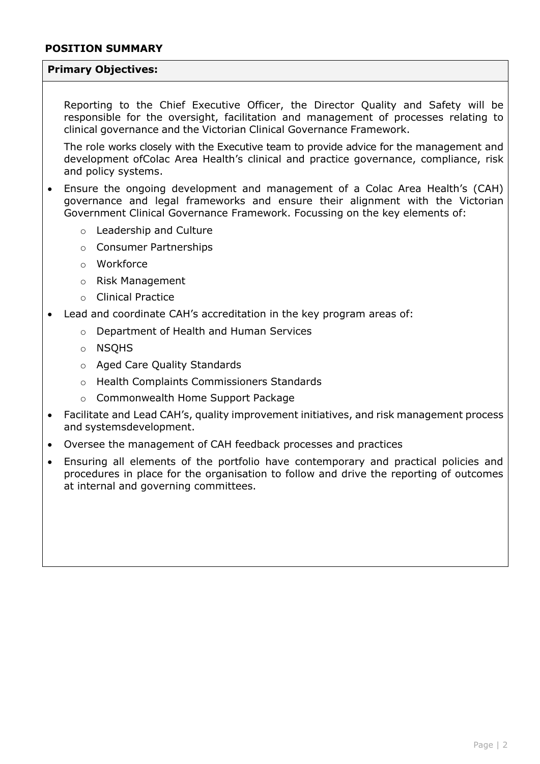#### **Primary Objectives:**

Reporting to the Chief Executive Officer, the Director Quality and Safety will be responsible for the oversight, facilitation and management of processes relating to clinical governance and the Victorian Clinical Governance Framework.

The role works closely with the Executive team to provide advice for the management and development ofColac Area Health's clinical and practice governance, compliance, risk and policy systems.

- Ensure the ongoing development and management of a Colac Area Health's (CAH) governance and legal frameworks and ensure their alignment with the Victorian Government Clinical Governance Framework. Focussing on the key elements of:
	- o Leadership and Culture
	- o Consumer Partnerships
	- o Workforce
	- o Risk Management
	- o Clinical Practice
- Lead and coordinate CAH's accreditation in the key program areas of:
	- o Department of Health and Human Services
	- o NSQHS
	- o Aged Care Quality Standards
	- o Health Complaints Commissioners Standards
	- o Commonwealth Home Support Package
- Facilitate and Lead CAH's, quality improvement initiatives, and risk management process and systemsdevelopment.
- Oversee the management of CAH feedback processes and practices
- Ensuring all elements of the portfolio have contemporary and practical policies and procedures in place for the organisation to follow and drive the reporting of outcomes at internal and governing committees.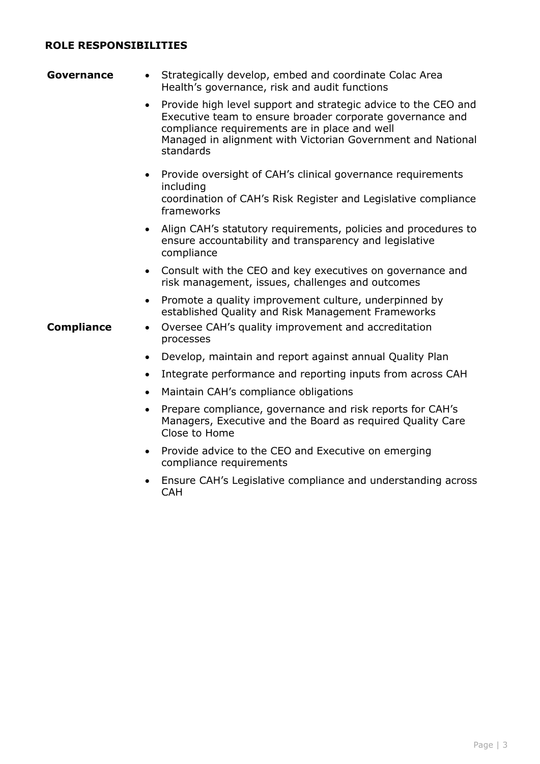#### **ROLE RESPONSIBILITIES**

| Governance        | Strategically develop, embed and coordinate Colac Area<br>Health's governance, risk and audit functions                                                                                                                                                               |
|-------------------|-----------------------------------------------------------------------------------------------------------------------------------------------------------------------------------------------------------------------------------------------------------------------|
|                   | Provide high level support and strategic advice to the CEO and<br>$\bullet$<br>Executive team to ensure broader corporate governance and<br>compliance requirements are in place and well<br>Managed in alignment with Victorian Government and National<br>standards |
|                   | • Provide oversight of CAH's clinical governance requirements<br>including<br>coordination of CAH's Risk Register and Legislative compliance<br>frameworks                                                                                                            |
|                   | Align CAH's statutory requirements, policies and procedures to<br>$\bullet$<br>ensure accountability and transparency and legislative<br>compliance                                                                                                                   |
|                   | Consult with the CEO and key executives on governance and<br>$\bullet$<br>risk management, issues, challenges and outcomes                                                                                                                                            |
| <b>Compliance</b> | Promote a quality improvement culture, underpinned by<br>$\bullet$<br>established Quality and Risk Management Frameworks<br>Oversee CAH's quality improvement and accreditation<br>٠                                                                                  |
|                   | processes                                                                                                                                                                                                                                                             |
|                   | Develop, maintain and report against annual Quality Plan<br>٠                                                                                                                                                                                                         |
|                   | Integrate performance and reporting inputs from across CAH<br>$\bullet$                                                                                                                                                                                               |
|                   | Maintain CAH's compliance obligations<br>$\bullet$                                                                                                                                                                                                                    |
|                   | Prepare compliance, governance and risk reports for CAH's<br>$\bullet$<br>Managers, Executive and the Board as required Quality Care<br>Close to Home                                                                                                                 |
|                   | Provide advice to the CEO and Executive on emerging<br>compliance requirements                                                                                                                                                                                        |
|                   | Ensure CAH's Legislative compliance and understanding across<br><b>CAH</b>                                                                                                                                                                                            |
|                   |                                                                                                                                                                                                                                                                       |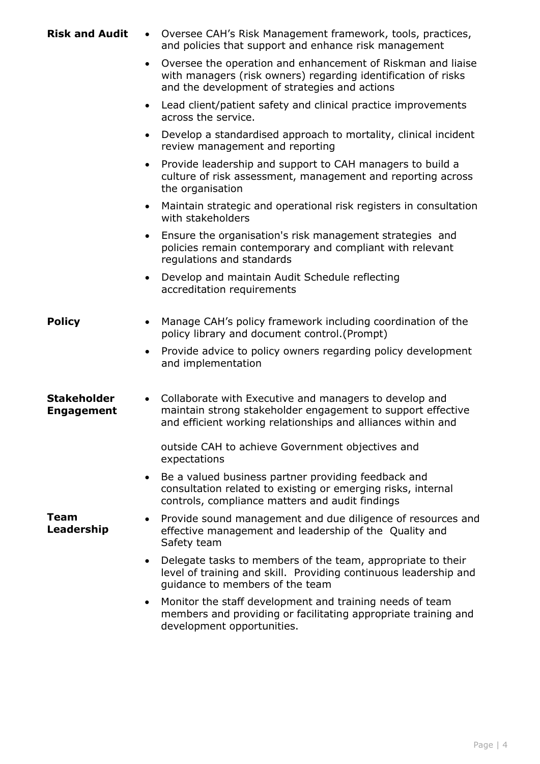| <b>Risk and Audit</b>                   | Oversee CAH's Risk Management framework, tools, practices,<br>$\bullet$<br>and policies that support and enhance risk management                                                                   |
|-----------------------------------------|----------------------------------------------------------------------------------------------------------------------------------------------------------------------------------------------------|
|                                         | Oversee the operation and enhancement of Riskman and liaise<br>$\bullet$<br>with managers (risk owners) regarding identification of risks<br>and the development of strategies and actions         |
|                                         | Lead client/patient safety and clinical practice improvements<br>$\bullet$<br>across the service.                                                                                                  |
|                                         | Develop a standardised approach to mortality, clinical incident<br>$\bullet$<br>review management and reporting                                                                                    |
|                                         | Provide leadership and support to CAH managers to build a<br>$\bullet$<br>culture of risk assessment, management and reporting across<br>the organisation                                          |
|                                         | Maintain strategic and operational risk registers in consultation<br>$\bullet$<br>with stakeholders                                                                                                |
|                                         | Ensure the organisation's risk management strategies and<br>$\bullet$<br>policies remain contemporary and compliant with relevant<br>regulations and standards                                     |
|                                         | Develop and maintain Audit Schedule reflecting<br>$\bullet$<br>accreditation requirements                                                                                                          |
| <b>Policy</b>                           | Manage CAH's policy framework including coordination of the<br>$\bullet$<br>policy library and document control. (Prompt)                                                                          |
|                                         | Provide advice to policy owners regarding policy development<br>and implementation                                                                                                                 |
| <b>Stakeholder</b><br><b>Engagement</b> | Collaborate with Executive and managers to develop and<br>$\bullet$<br>maintain strong stakeholder engagement to support effective<br>and efficient working relationships and alliances within and |
|                                         | outside CAH to achieve Government objectives and<br>expectations                                                                                                                                   |
|                                         | Be a valued business partner providing feedback and<br>$\bullet$<br>consultation related to existing or emerging risks, internal<br>controls, compliance matters and audit findings                |
| Team<br>Leadership                      | Provide sound management and due diligence of resources and<br>effective management and leadership of the Quality and<br>Safety team                                                               |
|                                         | Delegate tasks to members of the team, appropriate to their<br>$\bullet$<br>level of training and skill. Providing continuous leadership and<br>quidance to members of the team                    |
|                                         | Monitor the staff development and training needs of team<br>٠<br>members and providing or facilitating appropriate training and<br>development opportunities.                                      |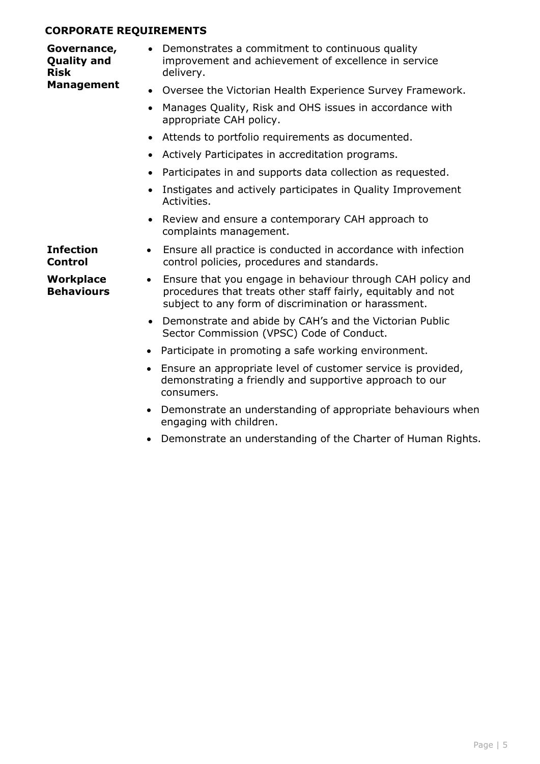#### **CORPORATE REQUIREMENTS**

**Governance, Quality and Risk Management** • Demonstrates a commitment to continuous quality improvement and achievement of excellence in service delivery. • Oversee the Victorian Health Experience Survey Framework. • Manages Quality, Risk and OHS issues in accordance with appropriate CAH policy. • Attends to portfolio requirements as documented. • Actively Participates in accreditation programs.

- Participates in and supports data collection as requested.
- Instigates and actively participates in Quality Improvement Activities.
- Review and ensure a contemporary CAH approach to complaints management.
- Ensure all practice is conducted in accordance with infection control policies, procedures and standards.
- Ensure that you engage in behaviour through CAH policy and procedures that treats other staff fairly, equitably and not subject to any form of discrimination or harassment.
	- Demonstrate and abide by CAH's and the Victorian Public Sector Commission (VPSC) Code of Conduct.
	- Participate in promoting a safe working environment.
	- Ensure an appropriate level of customer service is provided, demonstrating a friendly and supportive approach to our consumers.
	- Demonstrate an understanding of appropriate behaviours when engaging with children.
	- Demonstrate an understanding of the Charter of Human Rights.

**Infection Control**

**Workplace Behaviours**